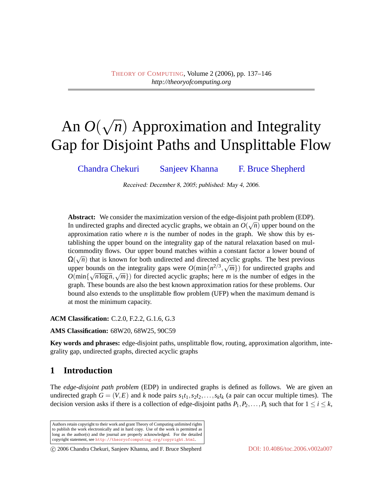# An *O*( √ *n*) Approximation and Integrality Gap for Disjoint Paths and Unsplittable Flow

[Chandra Chekuri](#page-8-0) [Sanjeev Khanna](#page-9-0) [F. Bruce Shepherd](#page-9-1)

Received: December 8, 2005; published: May 4, 2006.

**Abstract:** We consider the maximization version of the edge-disjoint path problem (EDP). In undirected graphs and directed acyclic graphs, we obtain an  $O(\sqrt{n})$  upper bound on the approximation ratio where  $n$  is the number of nodes in the graph. We show this by establishing the upper bound on the integrality gap of the natural relaxation based on multicommodity flows. Our upper bound matches within a constant factor a lower bound of  $\Omega(\sqrt{n})$  that is known for both undirected and directed acyclic graphs. The best previous upper bounds on the integrality gaps were  $O(\min\{n^{2/3}, \sqrt{m}\})$  for undirected graphs and  $O(\min\{n^{2/3}, \sqrt{m}\})$  $O(\min\{\sqrt{n \log n}, \sqrt{m}\})$  for directed acyclic graphs; here *m* is the number of edges in the graph. These bounds are also the best known approximation ratios for these problems. Our bound also extends to the unsplittable flow problem (UFP) when the maximum demand is at most the minimum capacity.

**ACM Classification:** C.2.0, F.2.2, G.1.6, G.3

**AMS Classification:** 68W20, 68W25, 90C59

**Key words and phrases:** edge-disjoint paths, unsplittable flow, routing, approximation algorithm, integrality gap, undirected graphs, directed acyclic graphs

## <span id="page-0-0"></span>**1 Introduction**

The *edge-disjoint path problem* (EDP) in undirected graphs is defined as follows. We are given an undirected graph  $G = (V, E)$  and *k* node pairs  $s_1t_1, s_2t_2, \ldots, s_kt_k$  (a pair can occur multiple times). The decision version asks if there is a collection of edge-disjoint paths  $P_1, P_2, \ldots, P_k$  such that for  $1 \le i \le k$ ,

Authors retain copyright to their work and grant Theory of Computing unlimited rights to publish the work electronically and in hard copy. Use of the work is permitted as long as the author(s) and the journal are properly acknowledged. For the detailed copyright statement, see <http://theoryofcomputing.org/copyright.html>.

c 2006 Chandra Chekuri, Sanjeev Khanna, and F. Bruce Shepherd [DOI: 10.4086/toc.2006.v002a007](http://dx.doi.org/10.4086/toc.2006.v002a007)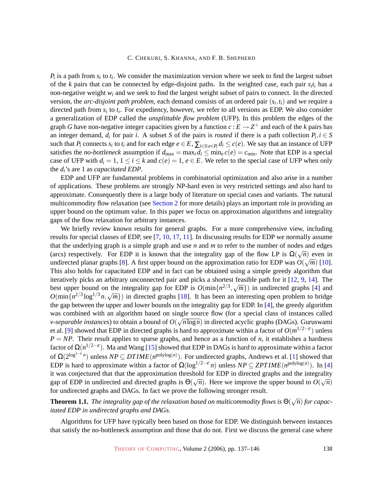$P_i$  is a path from  $s_i$  to  $t_i$ . We consider the maximization version where we seek to find the largest subset of the *k* pairs that can be connected by edge-disjoint paths. In the weighted case, each pair *s<sup>i</sup> t<sup>i</sup>* has a non-negative weight *w<sup>i</sup>* and we seek to find the largest weight subset of pairs to connect. In the directed version, the *arc-disjoint path problem*, each demand consists of an ordered pair (*s<sup>i</sup>* ,*ti*) and we require a directed path from  $s_i$  to  $t_i$ . For expediency, however, we refer to all versions as EDP. We also consider a generalization of EDP called the *unsplittable flow problem* (UFP). In this problem the edges of the graph *G* have non-negative integer capacities given by a function  $c : E \to Z^+$  and each of the *k* pairs has an integer demand,  $d_i$  for pair *i*. A subset *S* of the pairs is *routed* if there is a path collection  $P_i$ ,  $i \in S$ such that  $P_i$  connects  $s_i$  to  $t_i$  and for each edge  $e \in E$ ,  $\sum_{i \in S: e \in P_i} d_i \le c(e)$ . We say that an instance of UFP satisfies the *no-bottleneck* assumption if  $d_{\text{max}} = \max_i d_i \leq \min_i c(e) = c_{\min}$ . Note that EDP is a special case of UFP with  $d_i = 1$ ,  $1 \le i \le k$  and  $c(e) = 1$ ,  $e \in E$ . We refer to the special case of UFP when only the *di*'s are 1 as *capacitated EDP*.

EDP and UFP are fundamental problems in combinatorial optimization and also arise in a number of applications. These problems are strongly NP-hard even in very restricted settings and also hard to approximate. Consequently there is a large body of literature on special cases and variants. The natural multicommodity flow relaxation (see Section [2](#page-2-0) [for more details\) plays an important role in providing an](#page-2-0) upper bound on the optimum value. In this paper we focus on approximation algorithms and integrality gaps of the flow relaxation for arbitrary instances.

We briefly review known results for general graphs. For a more comprehensive view, including results for special classes of EDP, see [\[7,](#page-7-0) [10,](#page-8-1) [17,](#page-8-2) [11\]](#page-8-3). In discussing results for EDP we normally assume that the underlying graph is a simple graph and use *n* and *m* to refer to the number of nodes and edges (arcs) respectively. For EDP it is known that the integrality gap of the flow LP is  $\Omega(\sqrt{n})$  even in undirected planar graphs [\[8\]](#page-7-1). A first upper bound on the approximation ratio for EDP was  $O(\sqrt{m})$  [\[10\]](#page-8-1). This also holds for capacitated EDP and in fact can be obtained using a simple greedy algorithm that iteratively picks an arbitrary unconnected pair and picks a shortest feasible path for it [\[12,](#page-8-4) [9,](#page-7-2) [14\]](#page-8-5). The best upper bound on the integrality gap for EDP is  $O(\min\{n^{2/3}, \sqrt{m}\})$  in undirected graphs [\[4\]](#page-7-3) and  $O(\frac{1}{2}, \frac{2}{3}, \frac{1}{3}, \frac{1}{3}, \frac{1}{3})$ .  $O(\min\{n^{2/3}\log^{1/3}n, \sqrt{m}\})$  in directed graphs [\[18\]](#page-8-6). It has been an interesting open problem to bridge the gap between the upper and lower bounds on the integrality gap for EDP. In [\[4\]](#page-7-3), the greedy algorithm was combined with an algorithm based on single source flow (for a special class of instances called *v*-separable instances) to obtain a bound of  $O(\sqrt{n \log n})$  in directed acyclic graphs (DAGs). Guruswami et al. [\[9\]](#page-7-2) showed that EDP in directed graphs is hard to approximate within a factor of *O*(*m* 1/2−ε ) unless  $P = NP$ . Their result applies to sparse graphs, and hence as a function of *n*, it establishes a hardness factor of Ω(*n*<sup>1/2−ε</sup>). Ma and Wang [\[15\]](#page-8-7) showed that EDP in DAGs is hard to approximate within a factor of  $\Omega(2^{\log^{1-\epsilon} n})$  unless  $NP \subseteq DTIME(n^{\text{polylog}(n)})$ . For undirected graphs, Andrews et al. [\[1\]](#page-7-4) showed that EDP is hard to approximate within a factor of  $\Omega(\log^{1/2-\epsilon} n)$  unless  $NP \subseteq ZPTIME(n^{\text{polylog}(n)})$ . In [\[4\]](#page-7-3) it was conjectured that that the approximation threshold for EDP in directed graphs and the integrality  $\alpha$  was conjectured that that the approximation threshold for EDF in directed graphs and the integranty gap of EDP in undirected and directed graphs is  $\Theta(\sqrt{n})$ . Here we improve the upper bound to  $O(\sqrt{n})$ for undirected graphs and DAGs. In fact we prove the following stronger result.

<span id="page-1-0"></span>**Theorem 1.1.** *The integrality gap of the relaxation based on multicommodity flows is* Θ( √ *n*) *for capacitated EDP in undirected graphs and DAGs.*

Algorithms for UFP have typically been based on those for EDP. We distinguish between instances that satisfy the no-bottleneck assumption and those that do not. First we discuss the general case where

THEORY OF C[OMPUTING](http://dx.doi.org/10.4086/toc), Volume 2 (2006), pp. 137–146 138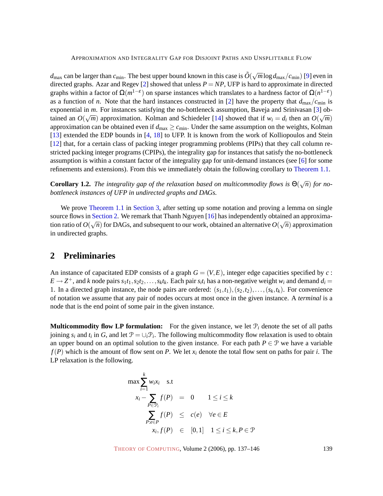$d_{\text{max}}$  can be larger than  $c_{\text{min}}$ . The best upper bound known in this case is  $\tilde{O}(\sqrt{m}\log d_{\text{max}}/c_{\text{min}})$  [\[9\]](#page-7-2) even in directed graphs. Azar and Regev  $[2]$  showed that unless  $P = NP$ , UFP is hard to approximate in directed graphs within a factor of  $\Omega(m^{1-\epsilon})$  on sparse instances which translates to a hardness factor of  $\Omega(n^{1-\epsilon})$ as a function of *n*. Note that the hard instances constructed in [\[2\]](#page-7-5) have the property that  $d_{\text{max}}/c_{\text{min}}$  is exponential in *m*. For instances satisfying the no-bottleneck assumption, Baveja and Srinivasan [\[3\]](#page-7-6) obtained an  $O(\sqrt{m})$  approximation. Kolman and Schiedeler [\[14\]](#page-8-5) showed that if  $w_i = d_i$  then an  $O(\sqrt{m})$ approximation can be obtained even if  $d_{\text{max}} \ge c_{\text{min}}$ . Under the same assumption on the weights, Kolman [\[13\]](#page-8-8) extended the EDP bounds in [\[4,](#page-7-3) [18\]](#page-8-6) to UFP. It is known from the work of Kolliopoulos and Stein [\[12\]](#page-8-4) that, for a certain class of packing integer programming problems (PIPs) that they call column restricted packing integer programs (CPIPs), the integrality gap for instances that satisfy the no-bottleneck assumption is within a constant factor of the integrality gap for unit-demand instances (see [\[6\]](#page-7-7) for some refinements and extensions). From this we immediately obtain the following corollary to [Theorem 1.1.](#page-1-0)

<span id="page-2-1"></span>**Corollary 1.2.** *The integrality gap of the relaxation based on multicommodity flows is*  $\Theta(\sqrt{n})$  *for nobottleneck instances of UFP in undirected graphs and DAGs.*

We prove [Theorem 1.1](#page-1-0) in Section [3, after setting up some notation and proving a lemma on single](#page-4-0) source flows in Section [2. We remark that Thanh Nguyen \[16\] has independently obtained an approxima](#page-2-0)tion ratio of  $O(\sqrt{n})$  for DAGs, and subsequent to our work, obtained an alternative  $O(\sqrt{n})$  approximation in undirected graphs.

## <span id="page-2-0"></span>**2 Preliminaries**

An instance of capacitated EDP consists of a graph  $G = (V, E)$ , integer edge capacities specified by *c*:  $E \to Z^+$ , and k node pairs  $s_1t_1, s_2t_2, \ldots, s_kt_k$ . Each pair  $s_it_i$  has a non-negative weight  $w_i$  and demand  $d_i =$ 1. In a directed graph instance, the node pairs are ordered:  $(s_1,t_1), (s_2,t_2), \ldots, (s_k,t_k)$ . For convenience of notation we assume that any pair of nodes occurs at most once in the given instance. A *terminal* is a node that is the end point of some pair in the given instance.

**Multicommodity flow LP formulation:** For the given instance, we let  $\mathcal{P}_i$  denote the set of all paths joining  $s_i$  and  $t_i$  in *G*, and let  $\mathcal{P} = \cup_i \mathcal{P}_i$ . The following multicommodity flow relaxation is used to obtain an upper bound on an optimal solution to the given instance. For each path  $P \in \mathcal{P}$  we have a variable  $f(P)$  which is the amount of flow sent on *P*. We let  $x_i$  denote the total flow sent on paths for pair *i*. The LP relaxation is the following.

$$
\max \sum_{i=1}^{k} w_i x_i \quad \text{s.t}
$$
\n
$$
x_i - \sum_{P \in \mathcal{P}_i} f(P) = 0 \quad 1 \le i \le k
$$
\n
$$
\sum_{P : e \in P} f(P) \le c(e) \quad \forall e \in E
$$
\n
$$
x_i, f(P) \in [0,1] \quad 1 \le i \le k, P \in \mathcal{P}
$$

THEORY OF C[OMPUTING](http://dx.doi.org/10.4086/toc), Volume 2 (2006), pp. 137–146 139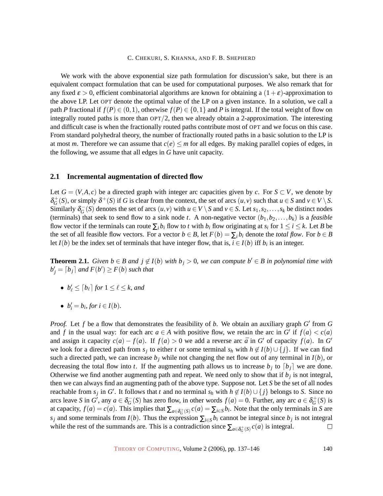We work with the above exponential size path formulation for discussion's sake, but there is an equivalent compact formulation that can be used for computational purposes. We also remark that for any fixed  $\varepsilon > 0$ , efficient combinatorial algorithms are known for obtaining a  $(1+\varepsilon)$ -approximation to the above LP. Let OPT denote the optimal value of the LP on a given instance. In a solution, we call a path *P* fractional if  $f(P) \in (0,1)$ , otherwise  $f(P) \in \{0,1\}$  and *P* is integral. If the total weight of flow on integrally routed paths is more than  $OPT/2$ , then we already obtain a 2-approximation. The interesting and difficult case is when the fractionally routed paths contribute most of OPT and we focus on this case. From standard polyhedral theory, the number of fractionally routed paths in a basic solution to the LP is at most *m*. Therefore we can assume that  $c(e) \leq m$  for all edges. By making parallel copies of edges, in the following, we assume that all edges in *G* have unit capacity.

#### <span id="page-3-0"></span>**2.1 Incremental augmentation of directed flow**

Let  $G = (V, A, c)$  be a directed graph with integer arc capacities given by *c*. For  $S \subset V$ , we denote by  $\delta_G^+(S)$ , or simply  $\delta^+(S)$  if *G* is clear from the context, the set of arcs  $(u, v)$  such that  $u \in S$  and  $v \in V \setminus S$ . Similarly  $\delta_G^-(S)$  denotes the set of arcs  $(u, v)$  with  $u \in V \setminus S$  and  $v \in S$ . Let  $s_1, s_2, \ldots, s_k$  be distinct nodes (terminals) that seek to send flow to a sink node *t*. A non-negative vector  $(b_1, b_2, \ldots, b_k)$  is a *feasible* flow vector if the terminals can route  $\sum_i b_i$  flow to *t* with  $b_i$  flow originating at  $s_i$  for  $1 \le i \le k$ . Let *B* be the set of all feasible flow vectors. For a vector  $b \in B$ , let  $F(b) = \sum_i b_i$  denote the *total flow*. For  $b \in B$ let  $I(b)$  be the index set of terminals that have integer flow, that is,  $i \in I(b)$  iff  $b_i$  is an integer.

<span id="page-3-1"></span>**Theorem 2.1.** *Given b* ∈ *B* and  $j \notin I(b)$  *with*  $b_j > 0$ *, we can compute*  $b' \in B$  *in polynomial time with*  $b'_{j} = \lceil b_{j} \rceil$  and  $F(b') \geq F(b)$  such that

- $b'_\ell \leq [b_\ell]$  for  $1 \leq \ell \leq k$ , and
- $b'_i = b_i$ , for  $i \in I(b)$ .

*Proof.* Let  $f$  be a flow that demonstrates the feasibility of  $b$ . We obtain an auxiliary graph  $G'$  from  $G$ and *f* in the usual way: for each arc  $a \in A$  with positive flow, we retain the arc in *G* if  $f(a) < c(a)$ and assign it capacity  $c(a) - f(a)$ . If  $f(a) > 0$  we add a reverse arc  $\bar{a}$  in  $G'$  of capacity  $f(a)$ . In  $G'$ we look for a directed path from  $s_j$  to either *t* or some terminal  $s_h$  with  $h \notin I(b) \cup \{j\}$ . If we can find such a directed path, we can increase  $b_j$  while not changing the net flow out of any terminal in  $I(b)$ , or decreasing the total flow into *t*. If the augmenting path allows us to increase  $b_j$  to  $\lfloor b_j \rfloor$  we are done. Otherwise we find another augmenting path and repeat. We need only to show that if *b<sup>j</sup>* is not integral, then we can always find an augmenting path of the above type. Suppose not. Let *S* be the set of all nodes reachable from  $s_j$  in  $G'$ . It follows that *t* and no terminal  $s_h$  with  $h \notin I(b) \cup \{j\}$  belongs to *S*. Since no arcs leave *S* in  $G'$ , any  $a \in \delta_G^-(S)$  has zero flow, in other words  $f(a) = 0$ . Further, any arc  $a \in \delta_G^+(S)$  is at capacity,  $f(a) = c(a)$ . This implies that  $\sum_{a \in \delta_G^+(S)} c(a) = \sum_{i \in S} b_i$ . Note that the only terminals in *S* are *s*<sub>*j*</sub> and some terminals from *I*(*b*). Thus the expression  $\sum_{i \in S} b_i$  cannot be integral since  $b_j$  is not integral while the rest of the summands are. This is a contradiction since  $\sum_{a \in \delta_G^+(S)} c(a)$  is integral.  $\Box$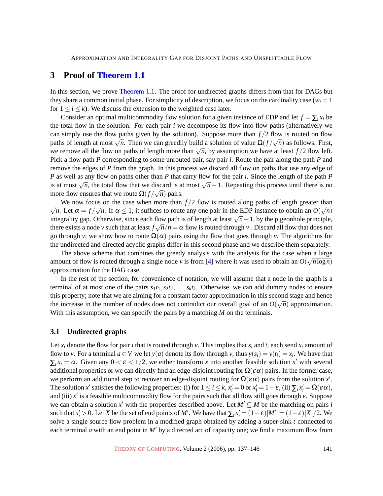## <span id="page-4-0"></span>**3 Proof of [Theorem 1.1](#page-1-0)**

In this section, we prove [Theorem 1.1.](#page-1-0) The proof for undirected graphs differs from that for DAGs but they share a common initial phase. For simplicity of description, we focus on the cardinality case ( $w_i = 1$ ) for  $1 \le i \le k$ ). We discuss the extension to the weighted case later.

Consider an optimal multicommodity flow solution for a given instance of EDP and let  $f = \sum_i x_i$  be the total flow in the solution. For each pair *i* we decompose its flow into flow paths (alternatively we can simply use the flow paths given by the solution). Suppose more than  $f/2$  flow is routed on flow paths of length at most  $\sqrt{n}$ . Then we can greedily build a solution of value  $\Omega(f/\sqrt{n})$  as follows. First, paths of length at filost  $\sqrt{n}$ . Then we can greetify build a solution of value  $\frac{d}{d\sqrt{n}}$  as follows. First, we remove all the flow on paths of length more than  $\sqrt{n}$ , by assumption we have at least  $f/2$  flow left. Pick a flow path *P* corresponding to some unrouted pair, say pair *i*. Route the pair along the path *P* and remove the edges of *P* from the graph. In this process we discard all flow on paths that use any edge of *P* as well as any flow on paths other than *P* that carry flow for the pair *i*. Since the length of the path *P* as wen as any now on pains oner than *I* that carry now for the pair *t*. Since the length of the pair *I* is at most  $\sqrt{n}$ , the total flow that we discard is at most  $\sqrt{n}+1$ . Repeating this process until there is no more flow ensures that we route  $\Omega(f/\sqrt{n})$  pairs.

We now focus on the case when more than  $f/2$  flow is routed along paths of length greater than  $\sqrt{n}$ . Let  $\alpha = f/\sqrt{n}$ . If  $\alpha \le 1$ , it suffices to route any one pair in the EDP instance to obtain an  $O(\sqrt{n})$  $\sqrt{n}$ . Let  $\alpha = f/\sqrt{n}$ . If  $\alpha \le 1$ , it sumes to foute any one pair in the EDI instance to obtain an  $O(\sqrt{n})$  integrality gap. Otherwise, since each flow path is of length at least  $\sqrt{n} + 1$ , by the pigeonhole principle, there exists a node *v* such that at least  $f\sqrt{n}/n = \alpha$  flow is routed through *v* . Discard all flow that does not go through *v*; we show how to route  $\Omega(\alpha)$  pairs using the flow that goes through *v*. The algorithms for the undirected and directed acyclic graphs differ in this second phase and we describe them separately.

The above scheme that combines the greedy analysis with the analysis for the case when a large amount of flow is routed through a single node *v* is from [\[4\]](#page-7-3) where it was used to obtain an  $O(\sqrt{n \log n})$ approximation for the DAG case.

In the rest of the section, for convenience of notation, we will assume that a node in the graph is a terminal of at most one of the pairs  $s_1t_1, s_2t_2, \ldots, s_kt_k$ . Otherwise, we can add dummy nodes to ensure this property; note that we are aiming for a constant factor approximation in this second stage and hence the increase in the number of nodes does not contradict our overall goal of an  $O(\sqrt{n})$  approximation. With this assumption, we can specify the pairs by a matching *M* on the terminals.

#### **3.1 Undirected graphs**

Let  $x_i$  denote the flow for pair *i* that is routed through *v*. This implies that  $s_i$  and  $t_i$  each send  $x_i$  amount of flow to *v*. For a terminal  $a \in V$  we let  $y(a)$  denote its flow through *v*, thus  $y(s_i) = y(t_i) = x_i$ . We have that  $\sum_i x_i = \alpha$ . Given any  $0 < \varepsilon < 1/2$ , we either transform *x* into another feasible solution *x'* with several additional properties or we can directly find an edge-disjoint routing for  $\Omega(\epsilon \alpha)$  pairs. In the former case, we perform an additional step to recover an edge-disjoint routing for  $\Omega(\varepsilon \alpha)$  pairs from the solution *x'*. The solution *x'* satisfies the following properties: (i) for  $1 \le i \le k$ ,  $x'_i = 0$  or  $x'_i = 1 - \varepsilon$ , (ii)  $\sum_i x'_i = \Omega(\varepsilon \alpha)$ , and (iii)  $x'$  is a feasible multicommodity flow for the pairs such that all flow still goes through  $v$ . Suppose we can obtain a solution x' with the properties described above. Let  $M' \subseteq M$  be the matching on pairs *i* such that  $x'_i > 0$ . Let *X* be the set of end points of *M'*. We have that  $\sum_i x'_i = (1 - \varepsilon)|M'| = (1 - \varepsilon)|X|/2$ . We solve a single source flow problem in a modified graph obtained by adding a super-sink *t* connected to each terminal *a* with an end point in *M'* by a directed arc of capacity one; we find a maximum flow from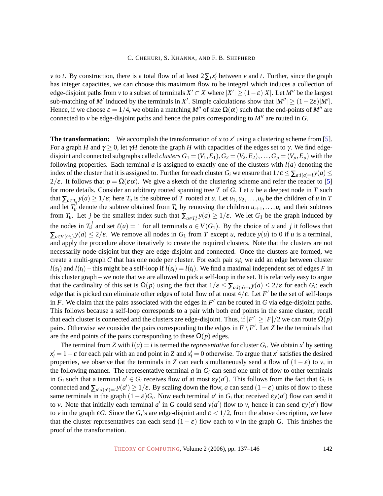*v* to *t*. By construction, there is a total flow of at least  $2\sum_i x_i'$  between *v* and *t*. Further, since the graph has integer capacities, we can choose this maximum flow to be integral which induces a collection of edge-disjoint paths from *v* to a subset of terminals  $X' \subset X$  where  $|X'| \ge (1 - \varepsilon)|X|$ . Let  $M''$  be the largest sub-matching of *M'* induced by the terminals in *X'*. Simple calculations show that  $|M''| \ge (1 - 2\varepsilon)|M'|$ . Hence, if we choose  $\varepsilon = 1/4$ , we obtain a matching *M<sup>n</sup>* of size  $\Omega(\alpha)$  such that the end-points of *M<sup>n</sup>* are connected to  $\nu$  be edge-disjoint paths and hence the pairs corresponding to  $M''$  are routed in *G*.

<span id="page-5-0"></span>**The transformation:** We accomplish the transformation of  $x$  to  $x'$  using a clustering scheme from [\[5\]](#page-7-8). For a graph *H* and  $\gamma \ge 0$ , let γ*H* denote the graph *H* with capacities of the edges set to γ. We find edgedisjoint and connected subgraphs called *clusters*  $G_1 = (V_1, E_1), G_2 = (V_2, E_2), \ldots, G_p = (V_p, E_p)$  with the following properties. Each terminal  $a$  is assigned to exactly one of the clusters with  $l(a)$  denoting the index of the cluster that it is assigned to. Further for each cluster  $G_i$  we ensure that  $1/\varepsilon \leq \sum_{a:l(a)=i} y(a) \leq$  $2/\varepsilon$ . It follows that  $p = \Omega(\varepsilon \alpha)$ . We give a sketch of the clustering scheme and refer the reader to [\[5\]](#page-7-8) for more details. Consider an arbitrary rooted spanning tree *T* of *G*. Let *u* be a deepest node in *T* such that  $\sum_{a \in T_u} y(a) \ge 1/\varepsilon$ ; here  $T_u$  is the subtree of *T* rooted at *u*. Let  $u_1, u_2, \ldots, u_h$  be the children of *u* in *T* and let  $T_u^i$  denote the subtree obtained from  $T_u$  by removing the children  $u_{i+1}, \ldots, u_h$  and their subtrees from  $T_u$ . Let *j* be the smallest index such that  $\sum_{a \in T_u^j} y(a) \ge 1/\varepsilon$ . We let  $G_1$  be the graph induced by the nodes in  $T_u^j$  and set  $\ell(a) = 1$  for all terminals  $a \in V(G_1)$ . By the choice of *u* and *j* it follows that  $\sum_{a \in V(G_1)} y(a) \leq 2/\varepsilon$ . We remove all nodes in  $G_1$  from *T* except *u*, reduce  $y(u)$  to 0 if *u* is a terminal, and apply the procedure above iteratively to create the required clusters. Note that the clusters are not necessarily node-disjoint but they are edge-disjoint and connected. Once the clusters are formed, we create a multi-graph *C* that has one node per cluster. For each pair *s<sup>i</sup> t<sup>i</sup>* we add an edge between cluster  $l(s_i)$  and  $l(t_i)$  – this might be a self-loop if  $l(s_i) = l(t_i)$ . We find a maximal independent set of edges *F* in this cluster graph – we note that we are allowed to pick a self-loop in the set. It is relatively easy to argue that the cardinality of this set is  $\Omega(p)$  using the fact that  $1/\varepsilon \leq \sum_{a:l(a)=i} y(a) \leq 2/\varepsilon$  for each  $G_i$ ; each edge that is picked can eliminate other edges of total flow of at most  $4/\varepsilon$ . Let *F*' be the set of self-loops in  $F$ . We claim that the pairs associated with the edges in  $F'$  can be routed in  $G$  via edge-disjoint paths. This follows because a self-loop corresponds to a pair with both end points in the same cluster; recall that each cluster is connected and the clusters are edge-disjoint. Thus, if  $|F'| \ge |F|/2$  we can route  $\Omega(p)$ pairs. Otherwise we consider the pairs corresponding to the edges in  $F \setminus F'$ . Let *Z* be the terminals that are the end points of the pairs corresponding to these  $\Omega(p)$  edges.

The terminal from *Z* with  $l(a) = i$  is termed the *representative* for cluster  $G_i$ . We obtain  $x'$  by setting  $x_i' = 1 - \varepsilon$  for each pair with an end point in *Z* and  $x_i' = 0$  otherwise. To argue that  $x'$  satisfies the desired properties, we observe that the terminals in *Z* can each simultaneously send a flow of  $(1 - \varepsilon)$  to *v*, in the following manner. The representative terminal  $a$  in  $G_i$  can send one unit of flow to other terminals in  $G_i$  such that a terminal  $a' \in G_i$  receives flow of at most  $\varepsilon y(a')$ . This follows from the fact that  $G_i$  is connected and  $\sum_{a':l(a')=i} y(a') \geq 1/\varepsilon$ . By scaling down the flow, *a* can send  $(1-\varepsilon)$  units of flow to these same terminals in the graph  $(1 - \varepsilon)G_i$ . Now each terminal *a'* in  $G_i$  that received  $\varepsilon y(a')$  flow can send it to *v*. Note that initially each terminal *a'* in *G* could send  $y(a')$  flow to *v*, hence it can send  $\epsilon y(a')$  flow to *v* in the graph  $\epsilon G$ . Since the  $G_i$ 's are edge-disjoint and  $\epsilon < 1/2$ , from the above description, we have that the cluster representatives can each send  $(1 - \varepsilon)$  flow each to *v* in the graph *G*. This finishes the proof of the transformation.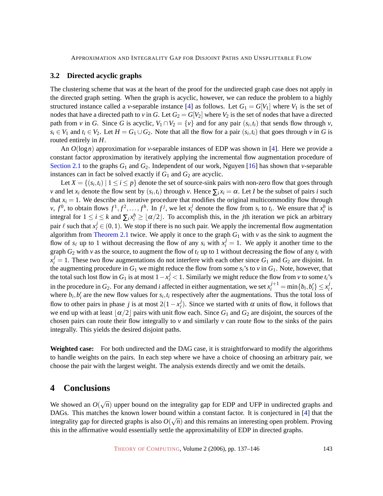#### <span id="page-6-0"></span>**3.2 Directed acyclic graphs**

The clustering scheme that was at the heart of the proof for the undirected graph case does not apply in the directed graph setting. When the graph is acyclic, however, we can reduce the problem to a highly structured instance called a *v*-separable instance [\[4\]](#page-7-3) as follows. Let  $G_1 = G[V_1]$  where  $V_1$  is the set of nodes that have a directed path to *v* in *G*. Let  $G_2 = G[V_2]$  where  $V_2$  is the set of nodes that have a directed path from *v* in *G*. Since *G* is acyclic,  $V_1 \cap V_2 = \{v\}$  and for any pair  $(s_i, t_i)$  that sends flow through *v*,  $s_i \in V_1$  and  $t_i \in V_2$ . Let  $H = G_1 \cup G_2$ . Note that all the flow for a pair  $(s_i, t_i)$  that goes through *v* in *G* is routed entirely in *H*.

An *O*(log*n*) approximation for *v*-separable instances of EDP was shown in [\[4\]](#page-7-3). Here we provide a constant factor approximation by iteratively applying the incremental flow augmentation procedure of Section [2.1](#page-3-0) to the graphs *G*<sup>1</sup> and *G*2[. Independent of our work, Nguyen \[16\] has shown that](#page-3-0) *v*-separable instances can in fact be solved exactly if  $G_1$  and  $G_2$  are acyclic.

Let  $X = \{(s_i, t_i) \mid 1 \leq i \leq p\}$  denote the set of source-sink pairs with non-zero flow that goes through *v* and let  $x_i$  denote the flow sent by  $(s_i, t_i)$  through *v*. Hence  $\sum_i x_i = \alpha$ . Let *I* be the subset of pairs *i* such that  $x_i = 1$ . We describe an iterative procedure that modifies the original multicommodity flow through  $v, f^0$ , to obtain flows  $f^1, f^2, \ldots, f^h$ . In  $f^j$ , we let  $x_i^j$ *i*<sup> $j$ </sup> denote the flow from *s<sub>i</sub>* to *t<sub>i</sub>*. We ensure that  $x_i^h$  is integral for  $1 \le i \le k$  and  $\sum_i x_i^h \ge \lfloor \alpha/2 \rfloor$ . To accomplish this, in the *j*th iteration we pick an arbitrary pair  $\ell$  such that  $x^j_\ell \in (0,1)$ . We stop if there is no such pair. We apply the incremental flow augmentation algorithm from [Theorem 2.1](#page-3-1) twice. We apply it once to the graph  $G_1$  with  $v$  as the sink to augment the flow of  $s_\ell$  up to 1 without decreasing the flow of any  $s_i$  with  $x_i^j = 1$ . We apply it another time to the graph  $G_2$  with  $v$  as the source, to augment the flow of  $t_\ell$  up to 1 without decreasing the flow of any  $t_i$  with  $x_i^j = 1$ . These two flow augmentations do not interfere with each other since  $G_1$  and  $G_2$  are disjoint. In the augmenting procedure in  $G_1$  we might reduce the flow from some  $s_i$ 's to  $v$  in  $G_1$ . Note, however, that the total such lost flow in  $G_1$  is at most  $1 - x^j_\ell < 1$ . Similarly we might reduce the flow from *v* to some  $t_i$ 's in the procedure in  $G_2$ . For any demand *i* affected in either augmentation, we set  $x_i^{j+1} = \min\{b_i, b_i'\} \leq x_i^{j}$ *i* , where  $b_i$ ,  $b'_i$  are the new flow values for  $s_i$ ,  $t_i$  respectively after the augmentations. Thus the total loss of flow to other pairs in phase *j* is at most  $2(1 - x^j)$  $\ell$ ). Since we started with  $\alpha$  units of flow, it follows that we end up with at least  $\alpha/2$  pairs with unit flow each. Since  $G_1$  and  $G_2$  are disjoint, the sources of the chosen pairs can route their flow integrally to *v* and similarly *v* can route flow to the sinks of the pairs integrally. This yields the desired disjoint paths.

**Weighted case:** For both undirected and the DAG case, it is straightforward to modify the algorithms to handle weights on the pairs. In each step where we have a choice of choosing an arbitrary pair, we choose the pair with the largest weight. The analysis extends directly and we omit the details.

### <span id="page-6-1"></span>**4 Conclusions**

We showed an  $O(\sqrt{n})$  upper bound on the integrality gap for EDP and UFP in undirected graphs and DAGs. This matches the known lower bound within a constant factor. It is conjectured in [\[4\]](#page-7-3) that the integrality gap for directed graphs is also  $O(\sqrt{n})$  and this remains an interesting open problem. Proving this in the affirmative would essentially settle the approximability of EDP in directed graphs.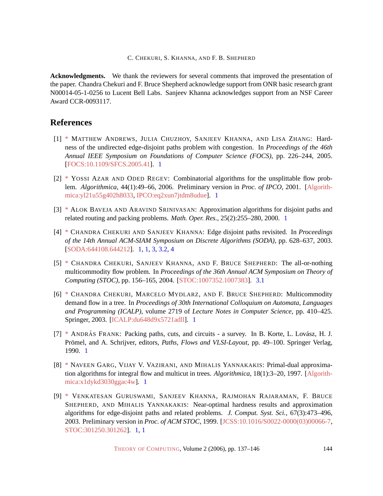**Acknowledgments.** We thank the reviewers for several comments that improved the presentation of the paper. Chandra Chekuri and F. Bruce Shepherd acknowledge support from ONR basic research grant N00014-05-1-0256 to Lucent Bell Labs. Sanjeev Khanna acknowledges support from an NSF Career Award CCR-0093117.

## **References**

- <span id="page-7-4"></span>[1] [\\*](http://theoryofcomputing.org/articles/main/v002/a007/bibliography.html#AndrewsCKZ05) MATTHEW ANDREWS, JULIA CHUZHOY, SANJEEV KHANNA, AND LISA ZHANG: Hardness of the undirected edge-disjoint paths problem with congestion. In *Proceedings of the 46th Annual IEEE Symposium on Foundations of Computer Science (FOCS)*, pp. 226–244, 2005. [\[FOCS:10.1109/SFCS.2005.41\]](http://doi.ieeecomputersociety.org//10.1109/SFCS.2005.41). [1](#page-0-0)
- <span id="page-7-5"></span>[2] [\\*](http://theoryofcomputing.org/articles/main/v002/a007/bibliography.html#AzarR06) YOSSI AZAR AND ODED REGEV: Combinatorial algorithms for the unsplittable flow problem. *Algorithmica*, 44(1):49–66, 2006. Preliminary version in *Proc. of IPCO*, 2001. [\[Algorith](http://springerlink.metapress.com/link.asp?id=yl21u55g402h8033)[mica:yl21u55g402h8033,](http://springerlink.metapress.com/link.asp?id=yl21u55g402h8033) [IPCO:eq2xun7jtdm8udue\]](http://springerlink.metapress.com/link.asp?id=eq2xun7jtdm8udue). [1](#page-1-0)
- <span id="page-7-6"></span>[3] [\\*](http://theoryofcomputing.org/articles/main/v002/a007/bibliography.html#BavejaS00) ALOK BAVEJA AND ARAVIND SRINIVASAN: Approximation algorithms for disjoint paths and related routing and packing problems. *Math. Oper. Res.*, 25(2):255–280, 2000. [1](#page-1-0)
- <span id="page-7-3"></span>[4] [\\*](http://theoryofcomputing.org/articles/main/v002/a007/bibliography.html#edp_revisited) CHANDRA CHEKURI AND SANJEEV KHANNA: Edge disjoint paths revisited. In *Proceedings of the 14th Annual ACM-SIAM Symposium on Discrete Algorithms (SODA)*, pp. 628–637, 2003. [\[SODA:644108.644212\]](http://portal.acm.org/citation.cfm?id=644108.644212). [1,](#page-0-0) [1,](#page-1-0) [3,](#page-4-0) [3.2,](#page-6-0) [4](#page-6-1)
- <span id="page-7-8"></span>[5] [\\*](http://theoryofcomputing.org/articles/main/v002/a007/bibliography.html#allnothing) CHANDRA CHEKURI, SANJEEV KHANNA, AND F. BRUCE SHEPHERD: The all-or-nothing multicommodity flow problem. In *Proceedings of the 36th Annual ACM Symposium on Theory of Computing (STOC)*, pp. 156–165, 2004. [\[STOC:1007352.1007383\]](http://portal.acm.org/citation.cfm?id=1007352.1007383). [3.1](#page-5-0)
- <span id="page-7-7"></span>[6] [\\*](http://theoryofcomputing.org/articles/main/v002/a007/bibliography.html#ChekuriMS03) CHANDRA CHEKURI, MARCELO MYDLARZ, AND F. BRUCE SHEPHERD: Multicommodity demand flow in a tree. In *Proceedings of 30th International Colloquium on Automata, Languages and Programming (ICALP)*, volume 2719 of *Lecture Notes in Computer Science*, pp. 410–425. Springer, 2003. [\[ICALP:du648d9x5721adll\]](http://springerlink.metapress.com/link.asp?id=du648d9x5721adll). [1](#page-1-0)
- <span id="page-7-0"></span>[7] [\\*](http://theoryofcomputing.org/articles/main/v002/a007/bibliography.html#Frank_survey) ANDRÁS FRANK: Packing paths, cuts, and circuits - a survey. In B. Korte, L. Lovász, H. J. Prömel, and A. Schrijver, editors, *Paths, Flows and VLSI-Layout*, pp. 49–100. Springer Verlag, 1990. [1](#page-0-0)
- <span id="page-7-1"></span>[8] [\\*](http://theoryofcomputing.org/articles/main/v002/a007/bibliography.html#GargVY97) NAVEEN GARG, VIJAY V. VAZIRANI, AND MIHALIS YANNAKAKIS: Primal-dual approximation algorithms for integral flow and multicut in trees. *Algorithmica*, 18(1):3–20, 1997. [\[Algorith](http://springerlink.metapress.com/link.asp?id=x1dykd3030ggac4w)[mica:x1dykd3030ggac4w\]](http://springerlink.metapress.com/link.asp?id=x1dykd3030ggac4w). [1](#page-0-0)
- <span id="page-7-2"></span>[9] [\\*](http://theoryofcomputing.org/articles/main/v002/a007/bibliography.html#GuruswamiKRSY03) VENKATESAN GURUSWAMI, SANJEEV KHANNA, RAJMOHAN RAJARAMAN, F. BRUCE SHEPHERD, AND MIHALIS YANNAKAKIS: Near-optimal hardness results and approximation algorithms for edge-disjoint paths and related problems. *J. Comput. Syst. Sci.*, 67(3):473–496, 2003. Preliminary version in *Proc. of ACM STOC*, 1999. [\[JCSS:10.1016/S0022-0000\(03\)00066-7,](http://dx.doi.org/10.1016/S0022-0000(03)00066-7) [STOC:301250.301262\]](http://portal.acm.org/citation.cfm?id=301250.301262). [1,](#page-0-0) [1](#page-1-0)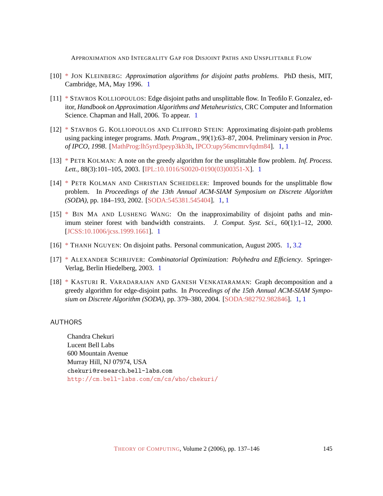- <span id="page-8-1"></span>[10] [\\*](http://theoryofcomputing.org/articles/main/v002/a007/bibliography.html#Kleinberg-thesis) JON KLEINBERG: *Approximation algorithms for disjoint paths problems*. PhD thesis, MIT, Cambridge, MA, May 1996. [1](#page-0-0)
- <span id="page-8-3"></span>[11] [\\*](http://theoryofcomputing.org/articles/main/v002/a007/bibliography.html#Kolliopoulos_survey) STAVROS KOLLIOPOULOS: Edge disjoint paths and unsplittable flow. In Teofilo F. Gonzalez, editor, *Handbook on Approximation Algorithms and Metaheuristics*, CRC Computer and Information Science. Chapman and Hall, 2006. To appear. [1](#page-0-0)
- <span id="page-8-4"></span>[12] [\\*](http://theoryofcomputing.org/articles/main/v002/a007/bibliography.html#KolliopoulosS04) STAVROS G. KOLLIOPOULOS AND CLIFFORD STEIN: Approximating disjoint-path problems using packing integer programs. *Math. Program.*, 99(1):63–87, 2004. Preliminary version in *Proc. of IPCO, 1998*. [\[MathProg:lh5yrd3peyp3kb3h,](http://springerlink.metapress.com/link.asp?id=lh5yrd3peyp3kb3h) [IPCO:upy56mcmrvfqdm84\]](http://springerlink.metapress.com/link.asp?id=upy56mcmrvfqdm84). [1,](#page-0-0) [1](#page-1-0)
- <span id="page-8-8"></span>[13] [\\*](http://theoryofcomputing.org/articles/main/v002/a007/bibliography.html#Kolman03) PETR KOLMAN: A note on the greedy algorithm for the unsplittable flow problem. *Inf. Process. Lett.*, 88(3):101–105, 2003. [\[IPL:10.1016/S0020-0190\(03\)00351-X\]](http://dx.doi.org/10.1016/S0020-0190(03)00351-X). [1](#page-1-0)
- <span id="page-8-5"></span>[14] [\\*](http://theoryofcomputing.org/articles/main/v002/a007/bibliography.html#KolmanS02) PETR KOLMAN AND CHRISTIAN SCHEIDELER: Improved bounds for the unsplittable flow problem. In *Proceedings of the 13th Annual ACM-SIAM Symposium on Discrete Algorithm (SODA)*, pp. 184–193, 2002. [\[SODA:545381.545404\]](http://portal.acm.org/citation.cfm?id=545381.545404). [1,](#page-0-0) [1](#page-1-0)
- <span id="page-8-7"></span>[15] [\\*](http://theoryofcomputing.org/articles/main/v002/a007/bibliography.html#MaW00) BIN MA AND LUSHENG WANG: On the inapproximability of disjoint paths and minimum steiner forest with bandwidth constraints. *J. Comput. Syst. Sci.*, 60(1):1–12, 2000. [\[JCSS:10.1006/jcss.1999.1661\]](http://dx.doi.org/10.1006/jcss.1999.1661). [1](#page-0-0)
- <span id="page-8-9"></span>[16] [\\*](http://theoryofcomputing.org/articles/main/v002/a007/bibliography.html#Nguyen05) THANH NGUYEN: On disjoint paths. Personal communication, August 2005. [1,](#page-2-1) [3.2](#page-6-0)
- <span id="page-8-2"></span>[17] [\\*](http://theoryofcomputing.org/articles/main/v002/a007/bibliography.html#Schrijver_book) ALEXANDER SCHRIJVER: *Combinatorial Optimization: Polyhedra and Efficiency*. Springer-Verlag, Berlin Hiedelberg, 2003. [1](#page-0-0)
- <span id="page-8-6"></span>[18] [\\*](http://theoryofcomputing.org/articles/main/v002/a007/bibliography.html#KasturiV04) KASTURI R. VARADARAJAN AND GANESH VENKATARAMAN: Graph decomposition and a greedy algorithm for edge-disjoint paths. In *Proceedings of the 15th Annual ACM-SIAM Symposium on Discrete Algorithm (SODA)*, pp. 379–380, 2004. [\[SODA:982792.982846\]](http://portal.acm.org/citation.cfm?id=982792.982846). [1,](#page-0-0) [1](#page-1-0)

#### <span id="page-8-0"></span>AUTHORS

Chandra Chekuri Lucent Bell Labs 600 Mountain Avenue Murray Hill, NJ 07974, USA chekuri@research.bell-labs.com <http://cm.bell-labs.com/cm/cs/who/chekuri/>